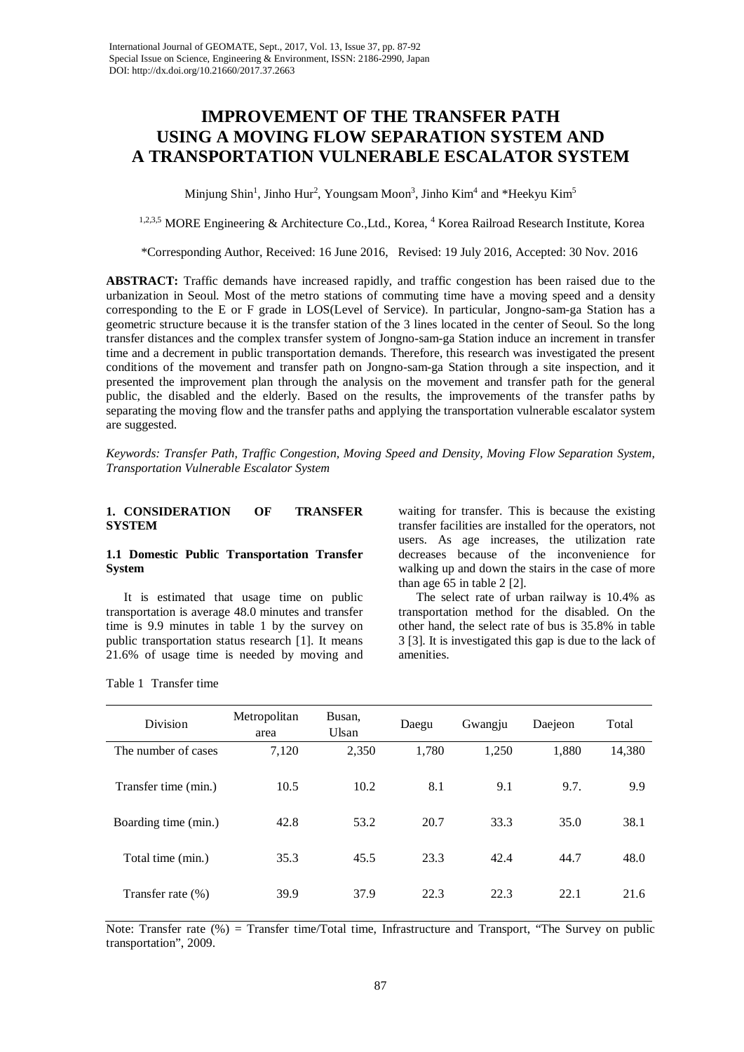# **IMPROVEMENT OF THE TRANSFER PATH USING A MOVING FLOW SEPARATION SYSTEM AND A TRANSPORTATION VULNERABLE ESCALATOR SYSTEM**

Minjung Shin<sup>1</sup>, Jinho Hur<sup>2</sup>, Youngsam Moon<sup>3</sup>, Jinho Kim<sup>4</sup> and \*Heekyu Kim<sup>5</sup>

<sup>1,2,3,5</sup> MORE Engineering & Architecture Co., Ltd., Korea, <sup>4</sup> Korea Railroad Research Institute, Korea

\*Corresponding Author, Received: 16 June 2016, Revised: 19 July 2016, Accepted: 30 Nov. 2016

**ABSTRACT:** Traffic demands have increased rapidly, and traffic congestion has been raised due to the urbanization in Seoul. Most of the metro stations of commuting time have a moving speed and a density corresponding to the E or F grade in LOS(Level of Service). In particular, Jongno-sam-ga Station has a geometric structure because it is the transfer station of the 3 lines located in the center of Seoul. So the long transfer distances and the complex transfer system of Jongno-sam-ga Station induce an increment in transfer time and a decrement in public transportation demands. Therefore, this research was investigated the present conditions of the movement and transfer path on Jongno-sam-ga Station through a site inspection, and it presented the improvement plan through the analysis on the movement and transfer path for the general public, the disabled and the elderly. Based on the results, the improvements of the transfer paths by separating the moving flow and the transfer paths and applying the transportation vulnerable escalator system are suggested.

*Keywords: Transfer Path, Traffic Congestion, Moving Speed and Density, Moving Flow Separation System, Transportation Vulnerable Escalator System*

## **1. CONSIDERATION OF TRANSFER SYSTEM**

## **1.1 Domestic Public Transportation Transfer System**

It is estimated that usage time on public transportation is average 48.0 minutes and transfer time is 9.9 minutes in table 1 by the survey on public transportation status research [1]. It means 21.6% of usage time is needed by moving and waiting for transfer. This is because the existing transfer facilities are installed for the operators, not users. As age increases, the utilization rate decreases because of the inconvenience for walking up and down the stairs in the case of more than age 65 in table 2 [2].

The select rate of urban railway is 10.4% as transportation method for the disabled. On the other hand, the select rate of bus is 35.8% in table 3 [3]. It is investigated this gap is due to the lack of amenities.

Table 1 Transfer time

| Division              | Metropolitan<br>area | Busan.<br>Ulsan | Daegu | Gwangju | Daejeon | Total  |
|-----------------------|----------------------|-----------------|-------|---------|---------|--------|
| The number of cases   | 7,120                | 2,350           | 1,780 | 1,250   | 1,880   | 14,380 |
| Transfer time (min.)  | 10.5                 | 10.2            | 8.1   | 9.1     | 9.7.    | 9.9    |
| Boarding time (min.)  | 42.8                 | 53.2            | 20.7  | 33.3    | 35.0    | 38.1   |
| Total time (min.)     | 35.3                 | 45.5            | 23.3  | 42.4    | 44.7    | 48.0   |
| Transfer rate $(\% )$ | 39.9                 | 37.9            | 22.3  | 22.3    | 22.1    | 21.6   |

Note: Transfer rate (%) = Transfer time/Total time, Infrastructure and Transport, "The Survey on public transportation", 2009.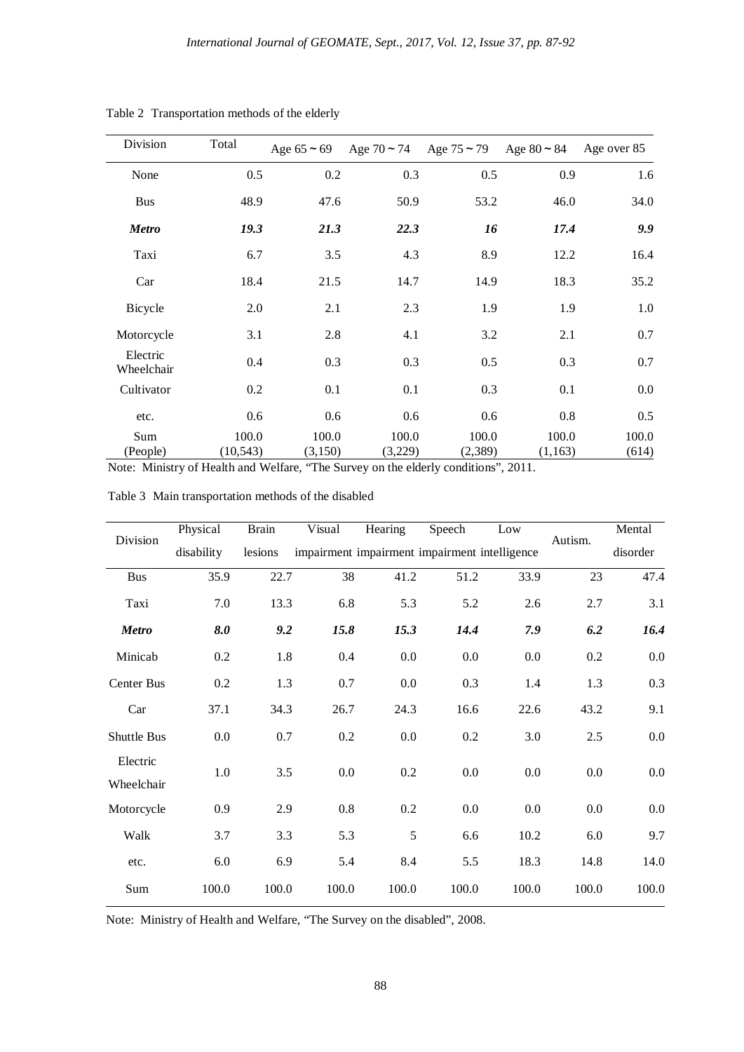| Division               | Total              | Age $65 \approx 69$ | Age $70 \approx 74$ Age $75 \approx 79$ |                  | Age $80 \approx 84$ | Age over 85    |
|------------------------|--------------------|---------------------|-----------------------------------------|------------------|---------------------|----------------|
| None                   | 0.5                | 0.2                 | 0.3                                     | 0.5              | 0.9                 | 1.6            |
| <b>Bus</b>             | 48.9               | 47.6                | 50.9                                    | 53.2             | 46.0                | 34.0           |
| <b>Metro</b>           | 19.3               | 21.3                | 22.3                                    | 16               | 17.4                | 9.9            |
| Taxi                   | 6.7                | 3.5                 | 4.3                                     | 8.9              | 12.2                | 16.4           |
| Car                    | 18.4               | 21.5                | 14.7                                    | 14.9             | 18.3                | 35.2           |
| Bicycle                | 2.0                | 2.1                 | 2.3                                     | 1.9              | 1.9                 | 1.0            |
| Motorcycle             | 3.1                | 2.8                 | 4.1                                     | 3.2              | 2.1                 | 0.7            |
| Electric<br>Wheelchair | 0.4                | 0.3                 | 0.3                                     | 0.5              | 0.3                 | 0.7            |
| Cultivator             | 0.2                | 0.1                 | 0.1                                     | 0.3              | 0.1                 | 0.0            |
| etc.                   | 0.6                | 0.6                 | 0.6                                     | 0.6              | 0.8                 | 0.5            |
| Sum<br>(People)        | 100.0<br>(10, 543) | 100.0<br>(3,150)    | 100.0<br>(3,229)                        | 100.0<br>(2,389) | 100.0<br>(1,163)    | 100.0<br>(614) |

Table 2 Transportation methods of the elderly

Note: Ministry of Health and Welfare, "The Survey on the elderly conditions", 2011.

|                        | Physical   | <b>Brain</b>                                  | Visual  | Hearing | Speech  | Low      |         | Mental |
|------------------------|------------|-----------------------------------------------|---------|---------|---------|----------|---------|--------|
| Division               | disability | impairment impairment intelligence<br>lesions |         |         | Autism. | disorder |         |        |
| <b>Bus</b>             | 35.9       | 22.7                                          | 38      | 41.2    | 51.2    | 33.9     | 23      | 47.4   |
| Taxi                   | 7.0        | 13.3                                          | 6.8     | 5.3     | 5.2     | 2.6      | 2.7     | 3.1    |
| <b>Metro</b>           | 8.0        | 9.2                                           | 15.8    | 15.3    | 14.4    | 7.9      | 6.2     | 16.4   |
| Minicab                | 0.2        | 1.8                                           | 0.4     | 0.0     | 0.0     | 0.0      | 0.2     | 0.0    |
| Center Bus             | 0.2        | 1.3                                           | 0.7     | $0.0\,$ | 0.3     | 1.4      | 1.3     | 0.3    |
| Car                    | 37.1       | 34.3                                          | 26.7    | 24.3    | 16.6    | 22.6     | 43.2    | 9.1    |
| Shuttle Bus            | $0.0\,$    | 0.7                                           | 0.2     | 0.0     | 0.2     | 3.0      | 2.5     | 0.0    |
| Electric<br>Wheelchair | 1.0        | 3.5                                           | $0.0\,$ | 0.2     | 0.0     | 0.0      | $0.0\,$ | 0.0    |
| Motorcycle             | 0.9        | 2.9                                           | 0.8     | 0.2     | 0.0     | 0.0      | 0.0     | 0.0    |
| Walk                   | 3.7        | 3.3                                           | 5.3     | 5       | 6.6     | 10.2     | 6.0     | 9.7    |
| etc.                   | 6.0        | 6.9                                           | 5.4     | 8.4     | 5.5     | 18.3     | 14.8    | 14.0   |
| Sum                    | 100.0      | 100.0                                         | 100.0   | 100.0   | 100.0   | 100.0    | 100.0   | 100.0  |

Table 3 Main transportation methods of the disabled

Note: Ministry of Health and Welfare, "The Survey on the disabled", 2008.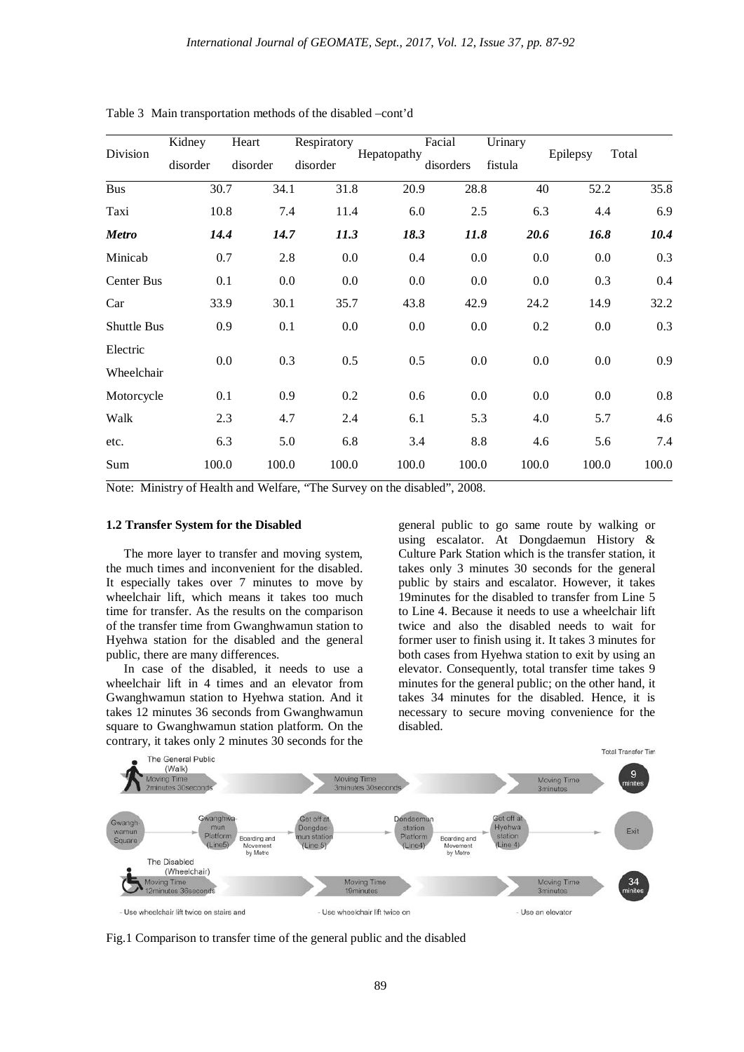| Division          | Kidney   | Heart    | Respiratory | Hepatopathy | Facial    | Urinary | Epilepsy | Total   |
|-------------------|----------|----------|-------------|-------------|-----------|---------|----------|---------|
|                   | disorder | disorder | disorder    |             | disorders | fistula |          |         |
| <b>Bus</b>        | 30.7     | 34.1     | 31.8        | 20.9        | 28.8      | 40      | 52.2     | 35.8    |
| Taxi              | 10.8     | 7.4      | 11.4        | 6.0         | 2.5       | 6.3     | 4.4      | 6.9     |
| <b>Metro</b>      | 14.4     | 14.7     | 11.3        | 18.3        | 11.8      | 20.6    | 16.8     | 10.4    |
| Minicab           | 0.7      | 2.8      | 0.0         | 0.4         | 0.0       | 0.0     | 0.0      | 0.3     |
| <b>Center Bus</b> | 0.1      | 0.0      | 0.0         | 0.0         | 0.0       | 0.0     | 0.3      | 0.4     |
| Car               | 33.9     | 30.1     | 35.7        | 43.8        | 42.9      | 24.2    | 14.9     | 32.2    |
| Shuttle Bus       | 0.9      | 0.1      | 0.0         | $0.0\,$     | $0.0\,$   | 0.2     | 0.0      | 0.3     |
| Electric          | 0.0      | 0.3      | 0.5         | 0.5         | 0.0       | 0.0     | 0.0      | 0.9     |
| Wheelchair        |          |          |             |             |           |         |          |         |
| Motorcycle        | 0.1      | 0.9      | 0.2         | 0.6         | 0.0       | 0.0     | 0.0      | $0.8\,$ |
| Walk              | 2.3      | 4.7      | 2.4         | 6.1         | 5.3       | 4.0     | 5.7      | 4.6     |
| etc.              | 6.3      | 5.0      | 6.8         | 3.4         | 8.8       | 4.6     | 5.6      | 7.4     |
| Sum               | 100.0    | 100.0    | 100.0       | 100.0       | 100.0     | 100.0   | 100.0    | 100.0   |

Table 3 Main transportation methods of the disabled –cont'd

Note: Ministry of Health and Welfare, "The Survey on the disabled", 2008.

# **1.2 Transfer System for the Disabled**

The more layer to transfer and moving system, the much times and inconvenient for the disabled. It especially takes over 7 minutes to move by wheelchair lift, which means it takes too much time for transfer. As the results on the comparison of the transfer time from Gwanghwamun station to Hyehwa station for the disabled and the general public, there are many differences.

In case of the disabled, it needs to use a wheelchair lift in 4 times and an elevator from Gwanghwamun station to Hyehwa station. And it takes 12 minutes 36 seconds from Gwanghwamun square to Gwanghwamun station platform. On the contrary, it takes only 2 minutes 30 seconds for the general public to go same route by walking or using escalator. At Dongdaemun History & Culture Park Station which is the transfer station, it takes only 3 minutes 30 seconds for the general public by stairs and escalator. However, it takes 19minutes for the disabled to transfer from Line 5 to Line 4. Because it needs to use a wheelchair lift twice and also the disabled needs to wait for former user to finish using it. It takes 3 minutes for both cases from Hyehwa station to exit by using an elevator. Consequently, total transfer time takes 9 minutes for the general public; on the other hand, it takes 34 minutes for the disabled. Hence, it is necessary to secure moving convenience for the disabled.



Fig.1 Comparison to transfer time of the general public and the disabled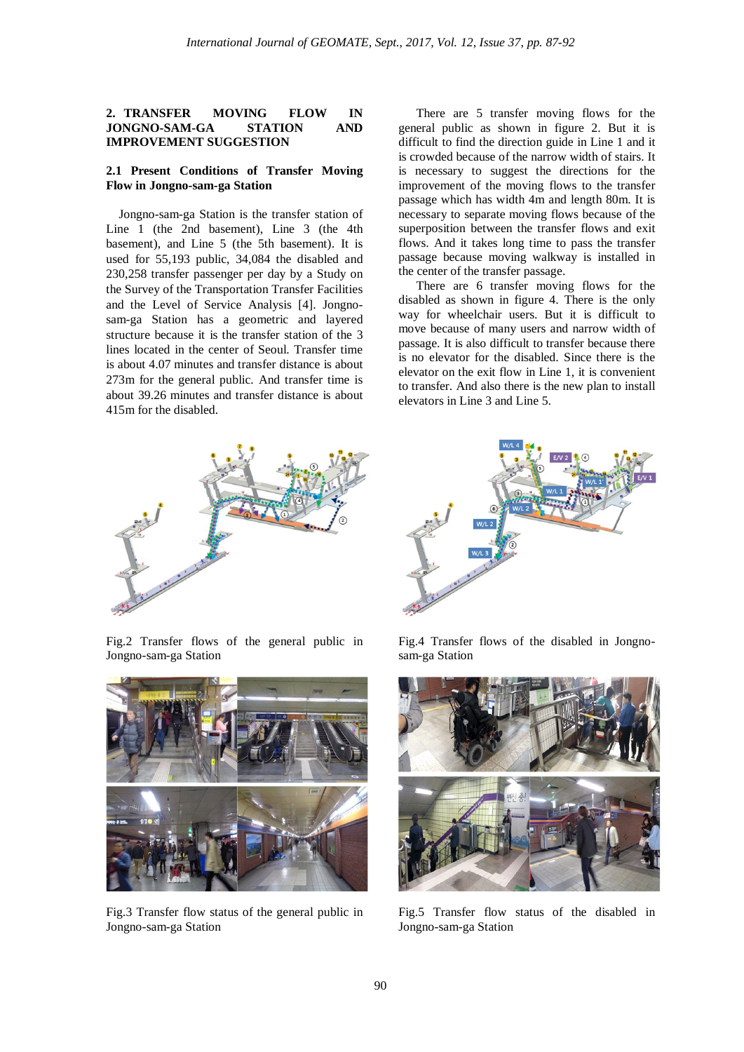## **2. TRANSFER MOVING FLOW IN JONGNO-SAM-GA STATION AND IMPROVEMENT SUGGESTION**

#### **2.1 Present Conditions of Transfer Moving Flow in Jongno-sam-ga Station**

Jongno-sam-ga Station is the transfer station of Line 1 (the 2nd basement), Line 3 (the 4th basement), and Line 5 (the 5th basement). It is used for 55,193 public, 34,084 the disabled and 230,258 transfer passenger per day by a Study on the Survey of the Transportation Transfer Facilities and the Level of Service Analysis [4]. Jongnosam-ga Station has a geometric and layered structure because it is the transfer station of the 3 lines located in the center of Seoul. Transfer time is about 4.07 minutes and transfer distance is about 273m for the general public. And transfer time is about 39.26 minutes and transfer distance is about 415m for the disabled.

There are 5 transfer moving flows for the general public as shown in figure 2. But it is difficult to find the direction guide in Line 1 and it is crowded because of the narrow width of stairs. It is necessary to suggest the directions for the improvement of the moving flows to the transfer passage which has width 4m and length 80m. It is necessary to separate moving flows because of the superposition between the transfer flows and exit flows. And it takes long time to pass the transfer passage because moving walkway is installed in the center of the transfer passage.

There are 6 transfer moving flows for the disabled as shown in figure 4. There is the only way for wheelchair users. But it is difficult to move because of many users and narrow width of passage. It is also difficult to transfer because there is no elevator for the disabled. Since there is the elevator on the exit flow in Line 1, it is convenient to transfer. And also there is the new plan to install elevators in Line 3 and Line 5.



Fig.2 Transfer flows of the general public in Jongno-sam-ga Station



Fig.3 Transfer flow status of the general public in Jongno-sam-ga Station



Fig.4 Transfer flows of the disabled in Jongnosam-ga Station



Fig.5 Transfer flow status of the disabled in Jongno-sam-ga Station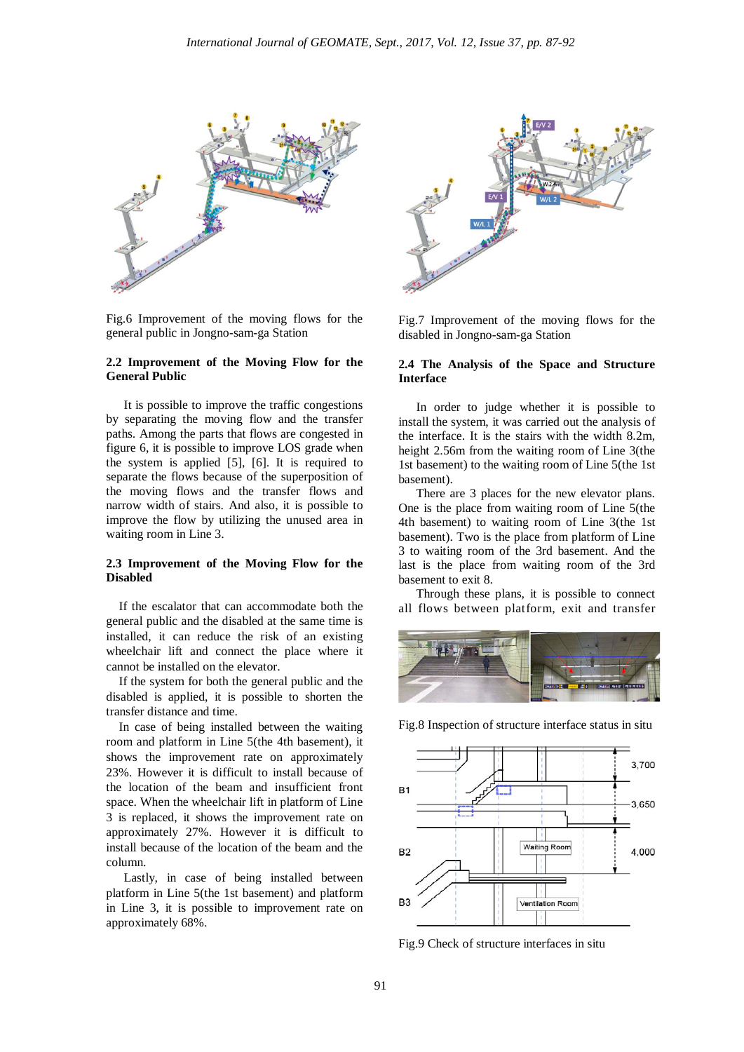

Fig.6 Improvement of the moving flows for the general public in Jongno-sam-ga Station

## **2.2 Improvement of the Moving Flow for the General Public**

It is possible to improve the traffic congestions by separating the moving flow and the transfer paths. Among the parts that flows are congested in figure 6, it is possible to improve LOS grade when the system is applied [5], [6]. It is required to separate the flows because of the superposition of the moving flows and the transfer flows and narrow width of stairs. And also, it is possible to improve the flow by utilizing the unused area in waiting room in Line 3.

### **2.3 Improvement of the Moving Flow for the Disabled**

If the escalator that can accommodate both the general public and the disabled at the same time is installed, it can reduce the risk of an existing wheelchair lift and connect the place where it cannot be installed on the elevator.

If the system for both the general public and the disabled is applied, it is possible to shorten the transfer distance and time.

In case of being installed between the waiting room and platform in Line 5(the 4th basement), it shows the improvement rate on approximately 23%. However it is difficult to install because of the location of the beam and insufficient front space. When the wheelchair lift in platform of Line 3 is replaced, it shows the improvement rate on approximately 27%. However it is difficult to install because of the location of the beam and the column.

Lastly, in case of being installed between platform in Line 5(the 1st basement) and platform in Line 3, it is possible to improvement rate on approximately 68%.



Fig.7 Improvement of the moving flows for the disabled in Jongno-sam-ga Station

#### **2.4 The Analysis of the Space and Structure Interface**

In order to judge whether it is possible to install the system, it was carried out the analysis of the interface. It is the stairs with the width 8.2m, height 2.56m from the waiting room of Line 3(the 1st basement) to the waiting room of Line 5(the 1st basement).

There are 3 places for the new elevator plans. One is the place from waiting room of Line 5(the 4th basement) to waiting room of Line 3(the 1st basement). Two is the place from platform of Line 3 to waiting room of the 3rd basement. And the last is the place from waiting room of the 3rd basement to exit 8.

Through these plans, it is possible to connect all flows between platform, exit and transfer



Fig.8 Inspection of structure interface status in situ



Fig.9 Check of structure interfaces in situ